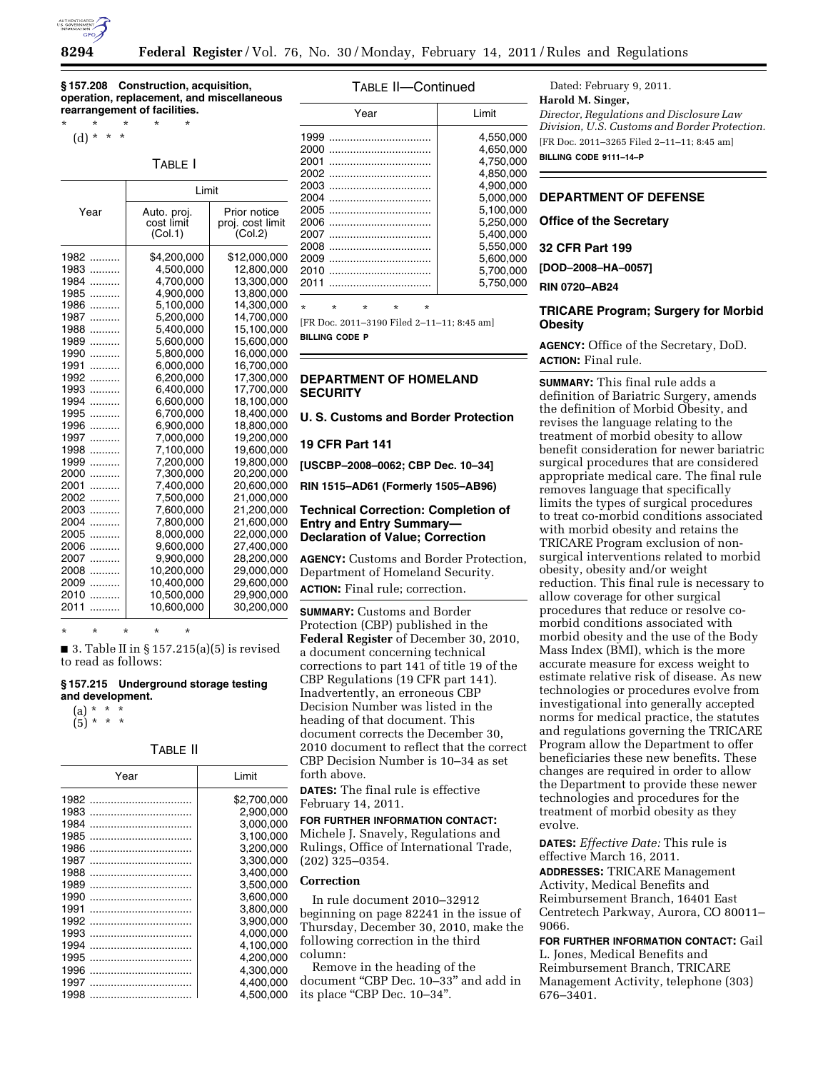

**§ 157.208 Construction, acquisition, operation, replacement, and miscellaneous rearrangement of facilities.** 

\* \* \* \* \* (d) \* \* \*

## TABLE I

|                                                                                                                                                                                                                                                                               | Limit                                                                                                                                                                                                                                                                           |                                                                                                                                                                                                                                                                                                      |
|-------------------------------------------------------------------------------------------------------------------------------------------------------------------------------------------------------------------------------------------------------------------------------|---------------------------------------------------------------------------------------------------------------------------------------------------------------------------------------------------------------------------------------------------------------------------------|------------------------------------------------------------------------------------------------------------------------------------------------------------------------------------------------------------------------------------------------------------------------------------------------------|
| Year                                                                                                                                                                                                                                                                          | Auto. proj.<br>cost limit<br>(Col.1)                                                                                                                                                                                                                                            | Prior notice<br>proj. cost limit<br>(Col.2)                                                                                                                                                                                                                                                          |
| 1982<br>.<br>1983<br>.<br>1984<br>.<br>1985<br>.<br>1986<br>.<br>1987<br>.<br>1988<br>.<br>1989<br>.<br>1990<br>.<br>1991<br>.<br>1992<br>.<br>1993<br>.<br>1994<br>.<br>1995<br>.<br>1996<br>.<br>1997<br>.<br>1998<br>.<br>1999<br>.<br>2000<br>.<br>2001<br>.<br>2002<br>. | \$4,200,000<br>4,500,000<br>4,700,000<br>4,900,000<br>5,100,000<br>5,200,000<br>5,400,000<br>5,600,000<br>5,800,000<br>6,000,000<br>6,200,000<br>6,400,000<br>6,600,000<br>6,700,000<br>6,900,000<br>7,000,000<br>7,100,000<br>7,200,000<br>7,300,000<br>7,400,000<br>7,500,000 | \$12,000,000<br>12,800,000<br>13,300,000<br>13,800,000<br>14,300,000<br>14,700,000<br>15,100,000<br>15,600,000<br>16,000,000<br>16,700,000<br>17,300,000<br>17,700,000<br>18,100,000<br>18,400,000<br>18,800,000<br>19,200,000<br>19,600,000<br>19,800,000<br>20,200,000<br>20,600,000<br>21,000,000 |
| 2003<br>.<br>2004<br>.<br>2005<br>.                                                                                                                                                                                                                                           | 7,600,000<br>7,800,000<br>8,000,000                                                                                                                                                                                                                                             | 21,200,000<br>21,600,000<br>22,000,000                                                                                                                                                                                                                                                               |
| 2006<br>.<br>2007<br>.<br>2008<br>.<br>2009<br>.<br>2010<br>.                                                                                                                                                                                                                 | 9,600,000<br>9,900,000<br>10,200,000<br>10,400,000<br>10,500,000                                                                                                                                                                                                                | 27,400,000<br>28,200,000<br>29,000,000<br>29,600,000<br>29,900,000                                                                                                                                                                                                                                   |
| 2011<br>.                                                                                                                                                                                                                                                                     | 10,600,000                                                                                                                                                                                                                                                                      | 30,200,000                                                                                                                                                                                                                                                                                           |

\* \* \* \* \*

 $\blacksquare$  3. Table II in § 157.215(a)(5) is revised to read as follows:

#### **§ 157.215 Underground storage testing and development.**  (a) \* \* \*

(a) 
$$
\binom{n}{5} \binom{n}{5} \binom{n}{5}
$$

TABLE II

| Year | I imit      |
|------|-------------|
| 1982 | \$2,700,000 |
| 1983 | 2.900.000   |
| 1984 | 3.000.000   |
| 1985 | 3.100.000   |
| 1986 | 3.200.000   |
| 1987 | 3,300,000   |
| 1988 | 3.400,000   |
| 1989 | 3.500,000   |
| 1990 | 3.600.000   |
| 1991 | 3.800.000   |
| 1992 | 3.900.000   |
| 1993 | 4.000.000   |
| 1994 | 4.100.000   |
| 1995 | 4.200.000   |
| 1996 | 4.300.000   |
| 1997 | 4.400.000   |
| 1998 | 4.500.000   |



[FR Doc. 2011–3190 Filed 2–11–11; 8:45 am]

**BILLING CODE P** 

## **DEPARTMENT OF HOMELAND SECURITY**

**U. S. Customs and Border Protection** 

### **19 CFR Part 141**

**[USCBP–2008–0062; CBP Dec. 10–34]** 

**RIN 1515–AD61 (Formerly 1505–AB96)** 

## **Technical Correction: Completion of Entry and Entry Summary— Declaration of Value; Correction**

**AGENCY:** Customs and Border Protection, Department of Homeland Security.

**ACTION:** Final rule; correction.

**SUMMARY:** Customs and Border Protection (CBP) published in the **Federal Register** of December 30, 2010, a document concerning technical corrections to part 141 of title 19 of the CBP Regulations (19 CFR part 141). Inadvertently, an erroneous CBP Decision Number was listed in the heading of that document. This document corrects the December 30, 2010 document to reflect that the correct CBP Decision Number is 10–34 as set forth above.

**DATES:** The final rule is effective February 14, 2011.

## **FOR FURTHER INFORMATION CONTACT:**

Michele J. Snavely, Regulations and Rulings, Office of International Trade, (202) 325–0354.

# **Correction**

In rule document 2010–32912 beginning on page 82241 in the issue of Thursday, December 30, 2010, make the following correction in the third column:

Remove in the heading of the document ''CBP Dec. 10–33'' and add in its place "CBP Dec. 10-34".

Dated: February 9, 2011. **Harold M. Singer,**  *Director, Regulations and Disclosure Law Division, U.S. Customs and Border Protection.*  [FR Doc. 2011–3265 Filed 2–11–11; 8:45 am] **BILLING CODE 9111–14–P** 

## **DEPARTMENT OF DEFENSE**

**Office of the Secretary** 

**32 CFR Part 199** 

**[DOD–2008–HA–0057]** 

**RIN 0720–AB24** 

# **TRICARE Program; Surgery for Morbid Obesity**

**AGENCY:** Office of the Secretary, DoD. **ACTION:** Final rule.

**SUMMARY:** This final rule adds a definition of Bariatric Surgery, amends the definition of Morbid Obesity, and revises the language relating to the treatment of morbid obesity to allow benefit consideration for newer bariatric surgical procedures that are considered appropriate medical care. The final rule removes language that specifically limits the types of surgical procedures to treat co-morbid conditions associated with morbid obesity and retains the TRICARE Program exclusion of nonsurgical interventions related to morbid obesity, obesity and/or weight reduction. This final rule is necessary to allow coverage for other surgical procedures that reduce or resolve comorbid conditions associated with morbid obesity and the use of the Body Mass Index (BMI), which is the more accurate measure for excess weight to estimate relative risk of disease. As new technologies or procedures evolve from investigational into generally accepted norms for medical practice, the statutes and regulations governing the TRICARE Program allow the Department to offer beneficiaries these new benefits. These changes are required in order to allow the Department to provide these newer technologies and procedures for the treatment of morbid obesity as they evolve.

**DATES:** *Effective Date:* This rule is effective March 16, 2011. **ADDRESSES:** TRICARE Management Activity, Medical Benefits and Reimbursement Branch, 16401 East Centretech Parkway, Aurora, CO 80011– 9066.

**FOR FURTHER INFORMATION CONTACT:** Gail L. Jones, Medical Benefits and Reimbursement Branch, TRICARE Management Activity, telephone (303) 676–3401.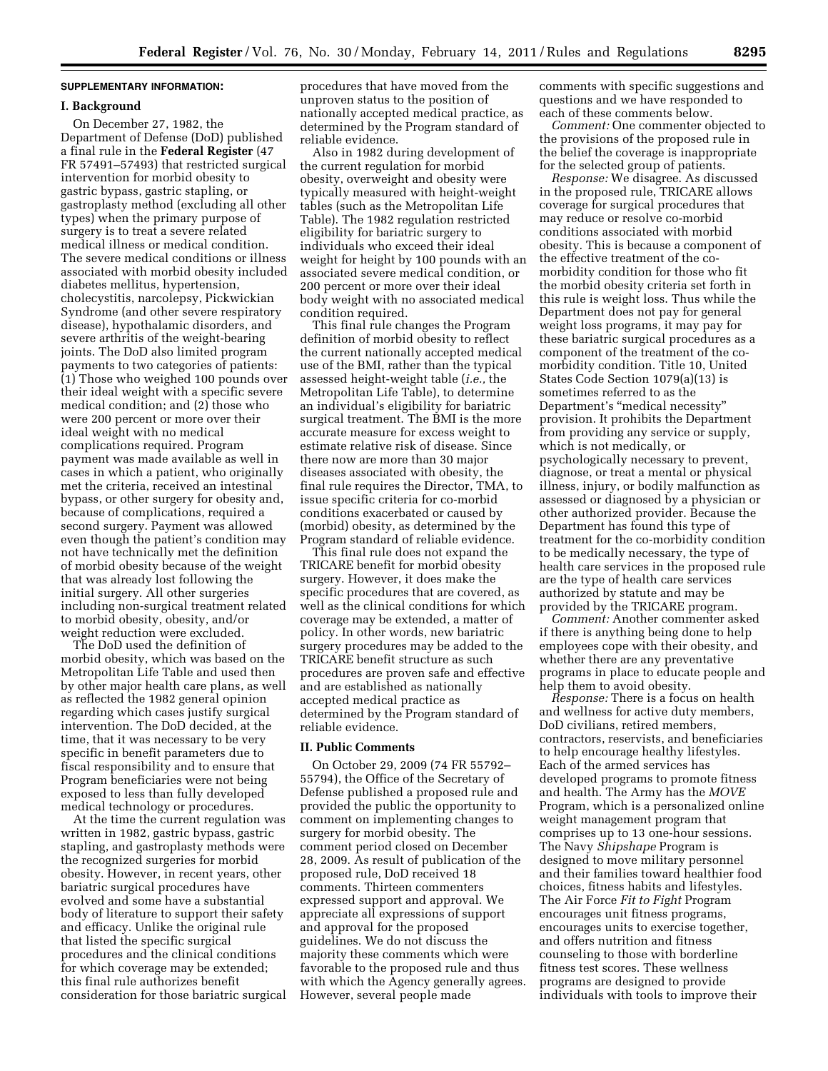## **SUPPLEMENTARY INFORMATION:**

#### **I. Background**

On December 27, 1982, the Department of Defense (DoD) published a final rule in the **Federal Register** (47 FR 57491–57493) that restricted surgical intervention for morbid obesity to gastric bypass, gastric stapling, or gastroplasty method (excluding all other types) when the primary purpose of surgery is to treat a severe related medical illness or medical condition. The severe medical conditions or illness associated with morbid obesity included diabetes mellitus, hypertension, cholecystitis, narcolepsy, Pickwickian Syndrome (and other severe respiratory disease), hypothalamic disorders, and severe arthritis of the weight-bearing joints. The DoD also limited program payments to two categories of patients: (1) Those who weighed 100 pounds over their ideal weight with a specific severe medical condition; and (2) those who were 200 percent or more over their ideal weight with no medical complications required. Program payment was made available as well in cases in which a patient, who originally met the criteria, received an intestinal bypass, or other surgery for obesity and, because of complications, required a second surgery. Payment was allowed even though the patient's condition may not have technically met the definition of morbid obesity because of the weight that was already lost following the initial surgery. All other surgeries including non-surgical treatment related to morbid obesity, obesity, and/or weight reduction were excluded.

The DoD used the definition of morbid obesity, which was based on the Metropolitan Life Table and used then by other major health care plans, as well as reflected the 1982 general opinion regarding which cases justify surgical intervention. The DoD decided, at the time, that it was necessary to be very specific in benefit parameters due to fiscal responsibility and to ensure that Program beneficiaries were not being exposed to less than fully developed medical technology or procedures.

At the time the current regulation was written in 1982, gastric bypass, gastric stapling, and gastroplasty methods were the recognized surgeries for morbid obesity. However, in recent years, other bariatric surgical procedures have evolved and some have a substantial body of literature to support their safety and efficacy. Unlike the original rule that listed the specific surgical procedures and the clinical conditions for which coverage may be extended; this final rule authorizes benefit consideration for those bariatric surgical procedures that have moved from the unproven status to the position of nationally accepted medical practice, as determined by the Program standard of reliable evidence.

Also in 1982 during development of the current regulation for morbid obesity, overweight and obesity were typically measured with height-weight tables (such as the Metropolitan Life Table). The 1982 regulation restricted eligibility for bariatric surgery to individuals who exceed their ideal weight for height by 100 pounds with an associated severe medical condition, or 200 percent or more over their ideal body weight with no associated medical condition required.

This final rule changes the Program definition of morbid obesity to reflect the current nationally accepted medical use of the BMI, rather than the typical assessed height-weight table (*i.e.,* the Metropolitan Life Table), to determine an individual's eligibility for bariatric surgical treatment. The BMI is the more accurate measure for excess weight to estimate relative risk of disease. Since there now are more than 30 major diseases associated with obesity, the final rule requires the Director, TMA, to issue specific criteria for co-morbid conditions exacerbated or caused by (morbid) obesity, as determined by the Program standard of reliable evidence.

This final rule does not expand the TRICARE benefit for morbid obesity surgery. However, it does make the specific procedures that are covered, as well as the clinical conditions for which coverage may be extended, a matter of policy. In other words, new bariatric surgery procedures may be added to the TRICARE benefit structure as such procedures are proven safe and effective and are established as nationally accepted medical practice as determined by the Program standard of reliable evidence.

## **II. Public Comments**

On October 29, 2009 (74 FR 55792– 55794), the Office of the Secretary of Defense published a proposed rule and provided the public the opportunity to comment on implementing changes to surgery for morbid obesity. The comment period closed on December 28, 2009. As result of publication of the proposed rule, DoD received 18 comments. Thirteen commenters expressed support and approval. We appreciate all expressions of support and approval for the proposed guidelines. We do not discuss the majority these comments which were favorable to the proposed rule and thus with which the Agency generally agrees. However, several people made

comments with specific suggestions and questions and we have responded to each of these comments below.

*Comment:* One commenter objected to the provisions of the proposed rule in the belief the coverage is inappropriate for the selected group of patients.

*Response:* We disagree. As discussed in the proposed rule, TRICARE allows coverage for surgical procedures that may reduce or resolve co-morbid conditions associated with morbid obesity. This is because a component of the effective treatment of the comorbidity condition for those who fit the morbid obesity criteria set forth in this rule is weight loss. Thus while the Department does not pay for general weight loss programs, it may pay for these bariatric surgical procedures as a component of the treatment of the comorbidity condition. Title 10, United States Code Section 1079(a)(13) is sometimes referred to as the Department's ''medical necessity'' provision. It prohibits the Department from providing any service or supply, which is not medically, or psychologically necessary to prevent, diagnose, or treat a mental or physical illness, injury, or bodily malfunction as assessed or diagnosed by a physician or other authorized provider. Because the Department has found this type of treatment for the co-morbidity condition to be medically necessary, the type of health care services in the proposed rule are the type of health care services authorized by statute and may be provided by the TRICARE program.

*Comment:* Another commenter asked if there is anything being done to help employees cope with their obesity, and whether there are any preventative programs in place to educate people and help them to avoid obesity.

*Response:* There is a focus on health and wellness for active duty members, DoD civilians, retired members, contractors, reservists, and beneficiaries to help encourage healthy lifestyles. Each of the armed services has developed programs to promote fitness and health. The Army has the *MOVE*  Program, which is a personalized online weight management program that comprises up to 13 one-hour sessions. The Navy *Shipshape* Program is designed to move military personnel and their families toward healthier food choices, fitness habits and lifestyles. The Air Force *Fit to Fight* Program encourages unit fitness programs, encourages units to exercise together, and offers nutrition and fitness counseling to those with borderline fitness test scores. These wellness programs are designed to provide individuals with tools to improve their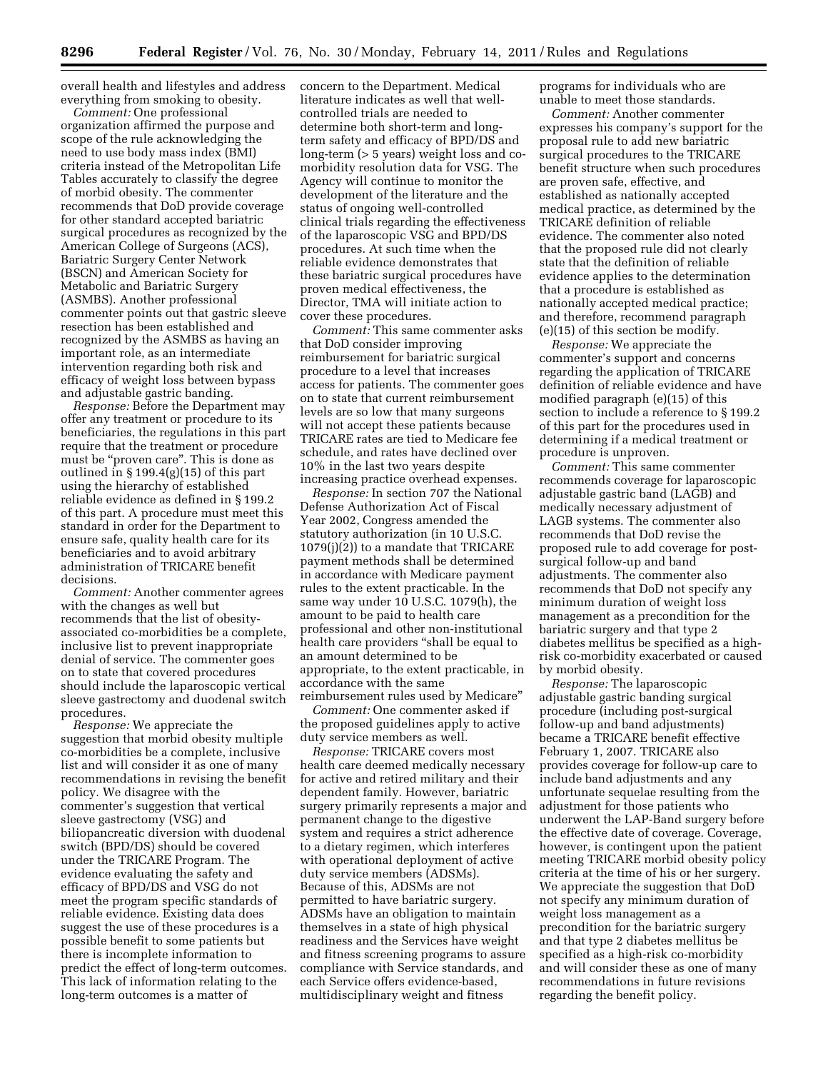overall health and lifestyles and address everything from smoking to obesity.

*Comment:* One professional organization affirmed the purpose and scope of the rule acknowledging the need to use body mass index (BMI) criteria instead of the Metropolitan Life Tables accurately to classify the degree of morbid obesity. The commenter recommends that DoD provide coverage for other standard accepted bariatric surgical procedures as recognized by the American College of Surgeons (ACS), Bariatric Surgery Center Network (BSCN) and American Society for Metabolic and Bariatric Surgery (ASMBS). Another professional commenter points out that gastric sleeve resection has been established and recognized by the ASMBS as having an important role, as an intermediate intervention regarding both risk and efficacy of weight loss between bypass and adjustable gastric banding.

*Response:* Before the Department may offer any treatment or procedure to its beneficiaries, the regulations in this part require that the treatment or procedure must be "proven care". This is done as outlined in § 199.4(g)(15) of this part using the hierarchy of established reliable evidence as defined in § 199.2 of this part. A procedure must meet this standard in order for the Department to ensure safe, quality health care for its beneficiaries and to avoid arbitrary administration of TRICARE benefit decisions.

*Comment:* Another commenter agrees with the changes as well but recommends that the list of obesityassociated co-morbidities be a complete, inclusive list to prevent inappropriate denial of service. The commenter goes on to state that covered procedures should include the laparoscopic vertical sleeve gastrectomy and duodenal switch procedures.

*Response:* We appreciate the suggestion that morbid obesity multiple co-morbidities be a complete, inclusive list and will consider it as one of many recommendations in revising the benefit policy. We disagree with the commenter's suggestion that vertical sleeve gastrectomy (VSG) and biliopancreatic diversion with duodenal switch (BPD/DS) should be covered under the TRICARE Program. The evidence evaluating the safety and efficacy of BPD/DS and VSG do not meet the program specific standards of reliable evidence. Existing data does suggest the use of these procedures is a possible benefit to some patients but there is incomplete information to predict the effect of long-term outcomes. This lack of information relating to the long-term outcomes is a matter of

concern to the Department. Medical literature indicates as well that wellcontrolled trials are needed to determine both short-term and longterm safety and efficacy of BPD/DS and long-term (> 5 years) weight loss and comorbidity resolution data for VSG. The Agency will continue to monitor the development of the literature and the status of ongoing well-controlled clinical trials regarding the effectiveness of the laparoscopic VSG and BPD/DS procedures. At such time when the reliable evidence demonstrates that these bariatric surgical procedures have proven medical effectiveness, the Director, TMA will initiate action to cover these procedures.

*Comment:* This same commenter asks that DoD consider improving reimbursement for bariatric surgical procedure to a level that increases access for patients. The commenter goes on to state that current reimbursement levels are so low that many surgeons will not accept these patients because TRICARE rates are tied to Medicare fee schedule, and rates have declined over 10% in the last two years despite increasing practice overhead expenses.

*Response:* In section 707 the National Defense Authorization Act of Fiscal Year 2002, Congress amended the statutory authorization (in 10 U.S.C. 1079(j)(2)) to a mandate that TRICARE payment methods shall be determined in accordance with Medicare payment rules to the extent practicable. In the same way under 10 U.S.C. 1079(h), the amount to be paid to health care professional and other non-institutional health care providers ''shall be equal to an amount determined to be appropriate, to the extent practicable, in accordance with the same reimbursement rules used by Medicare''

*Comment:* One commenter asked if the proposed guidelines apply to active duty service members as well.

*Response:* TRICARE covers most health care deemed medically necessary for active and retired military and their dependent family. However, bariatric surgery primarily represents a major and permanent change to the digestive system and requires a strict adherence to a dietary regimen, which interferes with operational deployment of active duty service members (ADSMs). Because of this, ADSMs are not permitted to have bariatric surgery. ADSMs have an obligation to maintain themselves in a state of high physical readiness and the Services have weight and fitness screening programs to assure compliance with Service standards, and each Service offers evidence-based, multidisciplinary weight and fitness

programs for individuals who are unable to meet those standards.

*Comment:* Another commenter expresses his company's support for the proposal rule to add new bariatric surgical procedures to the TRICARE benefit structure when such procedures are proven safe, effective, and established as nationally accepted medical practice, as determined by the TRICARE definition of reliable evidence. The commenter also noted that the proposed rule did not clearly state that the definition of reliable evidence applies to the determination that a procedure is established as nationally accepted medical practice; and therefore, recommend paragraph (e)(15) of this section be modify.

*Response:* We appreciate the commenter's support and concerns regarding the application of TRICARE definition of reliable evidence and have modified paragraph (e)(15) of this section to include a reference to § 199.2 of this part for the procedures used in determining if a medical treatment or procedure is unproven.

*Comment:* This same commenter recommends coverage for laparoscopic adjustable gastric band (LAGB) and medically necessary adjustment of LAGB systems. The commenter also recommends that DoD revise the proposed rule to add coverage for postsurgical follow-up and band adjustments. The commenter also recommends that DoD not specify any minimum duration of weight loss management as a precondition for the bariatric surgery and that type 2 diabetes mellitus be specified as a highrisk co-morbidity exacerbated or caused by morbid obesity.

*Response:* The laparoscopic adjustable gastric banding surgical procedure (including post-surgical follow-up and band adjustments) became a TRICARE benefit effective February 1, 2007. TRICARE also provides coverage for follow-up care to include band adjustments and any unfortunate sequelae resulting from the adjustment for those patients who underwent the LAP-Band surgery before the effective date of coverage. Coverage, however, is contingent upon the patient meeting TRICARE morbid obesity policy criteria at the time of his or her surgery. We appreciate the suggestion that DoD not specify any minimum duration of weight loss management as a precondition for the bariatric surgery and that type 2 diabetes mellitus be specified as a high-risk co-morbidity and will consider these as one of many recommendations in future revisions regarding the benefit policy.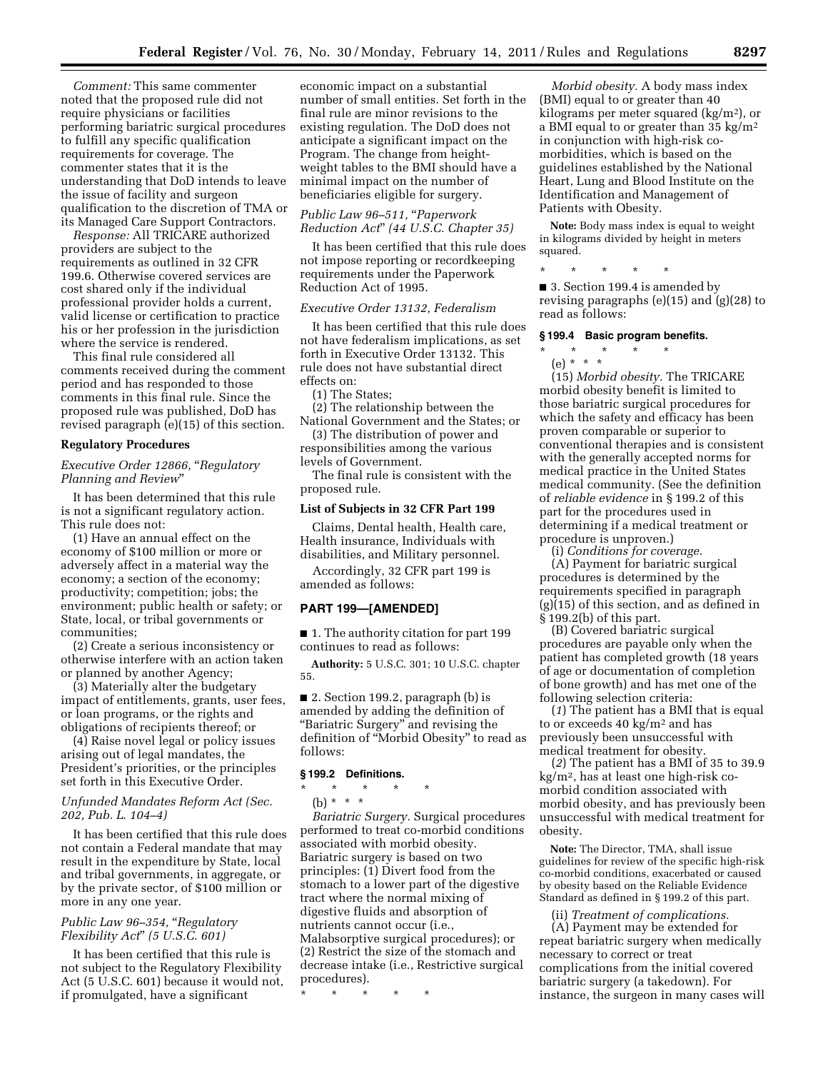*Comment:* This same commenter noted that the proposed rule did not require physicians or facilities performing bariatric surgical procedures to fulfill any specific qualification requirements for coverage. The commenter states that it is the understanding that DoD intends to leave the issue of facility and surgeon qualification to the discretion of TMA or its Managed Care Support Contractors.

*Response:* All TRICARE authorized providers are subject to the requirements as outlined in 32 CFR 199.6. Otherwise covered services are cost shared only if the individual professional provider holds a current, valid license or certification to practice his or her profession in the jurisdiction where the service is rendered.

This final rule considered all comments received during the comment period and has responded to those comments in this final rule. Since the proposed rule was published, DoD has revised paragraph (e)(15) of this section.

### **Regulatory Procedures**

*Executive Order 12866,* ''*Regulatory Planning and Review*''

It has been determined that this rule is not a significant regulatory action. This rule does not:

(1) Have an annual effect on the economy of \$100 million or more or adversely affect in a material way the economy; a section of the economy; productivity; competition; jobs; the environment; public health or safety; or State, local, or tribal governments or communities;

(2) Create a serious inconsistency or otherwise interfere with an action taken or planned by another Agency;

(3) Materially alter the budgetary impact of entitlements, grants, user fees, or loan programs, or the rights and obligations of recipients thereof; or

(4) Raise novel legal or policy issues arising out of legal mandates, the President's priorities, or the principles set forth in this Executive Order.

### *Unfunded Mandates Reform Act (Sec. 202, Pub. L. 104–4)*

It has been certified that this rule does not contain a Federal mandate that may result in the expenditure by State, local and tribal governments, in aggregate, or by the private sector, of \$100 million or more in any one year.

# *Public Law 96–354,* ''*Regulatory Flexibility Act*'' *(5 U.S.C. 601)*

It has been certified that this rule is not subject to the Regulatory Flexibility Act (5 U.S.C. 601) because it would not, if promulgated, have a significant

economic impact on a substantial number of small entities. Set forth in the final rule are minor revisions to the existing regulation. The DoD does not anticipate a significant impact on the Program. The change from heightweight tables to the BMI should have a minimal impact on the number of beneficiaries eligible for surgery.

# *Public Law 96–511,* ''*Paperwork Reduction Act*'' *(44 U.S.C. Chapter 35)*

It has been certified that this rule does not impose reporting or recordkeeping requirements under the Paperwork Reduction Act of 1995.

## *Executive Order 13132, Federalism*

It has been certified that this rule does not have federalism implications, as set forth in Executive Order 13132. This rule does not have substantial direct effects on:

(1) The States;

(2) The relationship between the National Government and the States; or

(3) The distribution of power and responsibilities among the various levels of Government.

The final rule is consistent with the proposed rule.

#### **List of Subjects in 32 CFR Part 199**

Claims, Dental health, Health care, Health insurance, Individuals with disabilities, and Military personnel.

Accordingly, 32 CFR part 199 is amended as follows:

### **PART 199—[AMENDED]**

■ 1. The authority citation for part 199 continues to read as follows:

**Authority:** 5 U.S.C. 301; 10 U.S.C. chapter 55.

■ 2. Section 199.2, paragraph (b) is amended by adding the definition of ''Bariatric Surgery'' and revising the definition of ''Morbid Obesity'' to read as follows:

## **§ 199.2 Definitions.**

\* \* \* \* \* (b) \* \* \*

*Bariatric Surgery.* Surgical procedures performed to treat co-morbid conditions associated with morbid obesity. Bariatric surgery is based on two principles: (1) Divert food from the stomach to a lower part of the digestive tract where the normal mixing of digestive fluids and absorption of nutrients cannot occur (i.e., Malabsorptive surgical procedures); or (2) Restrict the size of the stomach and decrease intake (i.e., Restrictive surgical procedures).

\* \* \* \* \*

*Morbid obesity.* A body mass index (BMI) equal to or greater than 40 kilograms per meter squared (kg/m2), or a BMI equal to or greater than 35 kg/m2 in conjunction with high-risk comorbidities, which is based on the guidelines established by the National Heart, Lung and Blood Institute on the Identification and Management of Patients with Obesity.

**Note:** Body mass index is equal to weight in kilograms divided by height in meters squared.

\* \* \* \* \*

■ 3. Section 199.4 is amended by revising paragraphs (e)(15) and (g)(28) to read as follows:

### **§ 199.4 Basic program benefits.**

\* \* \* \* \*

(e) \* \* \* (15) *Morbid obesity.* The TRICARE morbid obesity benefit is limited to those bariatric surgical procedures for which the safety and efficacy has been proven comparable or superior to conventional therapies and is consistent with the generally accepted norms for medical practice in the United States medical community. (See the definition of *reliable evidence* in § 199.2 of this part for the procedures used in determining if a medical treatment or procedure is unproven.)

(i) *Conditions for coverage.*  (A) Payment for bariatric surgical procedures is determined by the

requirements specified in paragraph (g)(15) of this section, and as defined in § 199.2(b) of this part. (B) Covered bariatric surgical

procedures are payable only when the patient has completed growth (18 years of age or documentation of completion of bone growth) and has met one of the following selection criteria:

(*1*) The patient has a BMI that is equal to or exceeds 40 kg/m2 and has previously been unsuccessful with medical treatment for obesity.

(*2*) The patient has a BMI of 35 to 39.9 kg/m2, has at least one high-risk comorbid condition associated with morbid obesity, and has previously been unsuccessful with medical treatment for obesity.

**Note:** The Director, TMA, shall issue guidelines for review of the specific high-risk co-morbid conditions, exacerbated or caused by obesity based on the Reliable Evidence Standard as defined in § 199.2 of this part.

(ii) *Treatment of complications.* 

(A) Payment may be extended for repeat bariatric surgery when medically necessary to correct or treat complications from the initial covered bariatric surgery (a takedown). For instance, the surgeon in many cases will